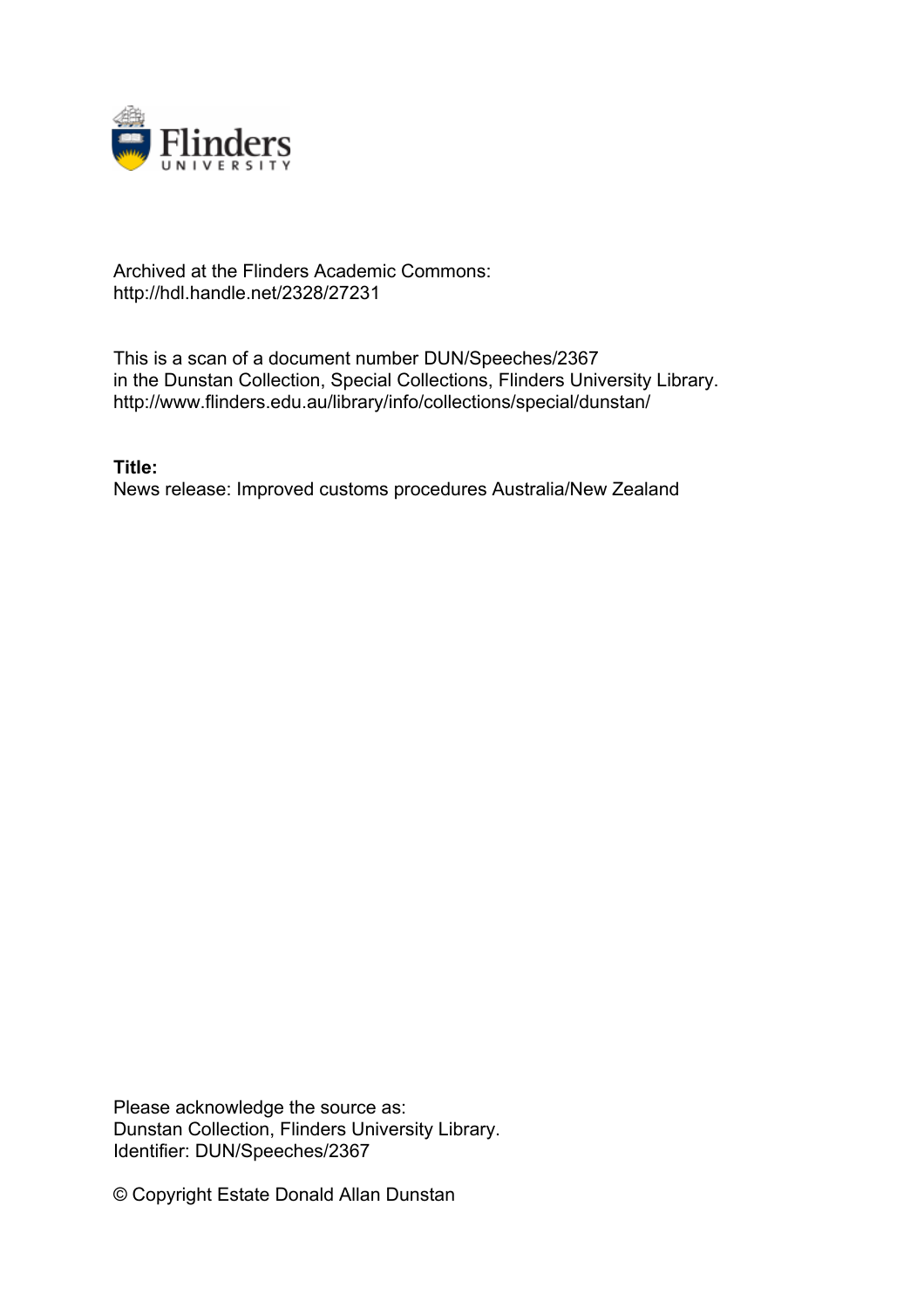

## Archived at the Flinders Academic Commons: http://hdl.handle.net/2328/27231

This is a scan of a document number DUN/Speeches/2367 in the Dunstan Collection, Special Collections, Flinders University Library. http://www.flinders.edu.au/library/info/collections/special/dunstan/

**Title:** News release: Improved customs procedures Australia/New Zealand

Please acknowledge the source as: Dunstan Collection, Flinders University Library. Identifier: DUN/Speeches/2367

© Copyright Estate Donald Allan Dunstan